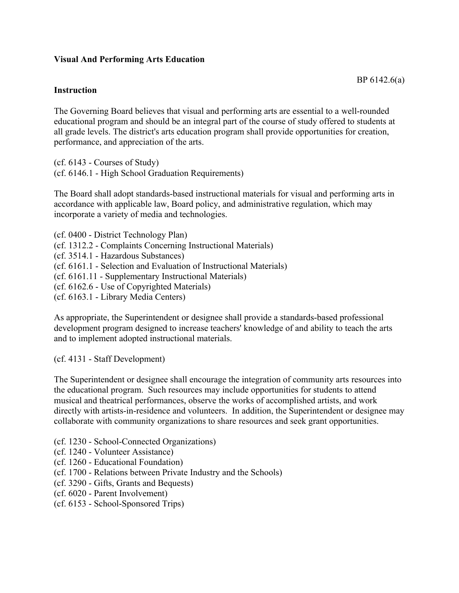## **Visual And Performing Arts Education**

## **Instruction**

The Governing Board believes that visual and performing arts are essential to a well-rounded educational program and should be an integral part of the course of study offered to students at all grade levels. The district's arts education program shall provide opportunities for creation, performance, and appreciation of the arts.

(cf. 6143 - Courses of Study) (cf. 6146.1 - High School Graduation Requirements)

The Board shall adopt standards-based instructional materials for visual and performing arts in accordance with applicable law, Board policy, and administrative regulation, which may incorporate a variety of media and technologies.

(cf. 0400 - District Technology Plan) (cf. 1312.2 - Complaints Concerning Instructional Materials) (cf. 3514.1 - Hazardous Substances) (cf. 6161.1 - Selection and Evaluation of Instructional Materials) (cf. 6161.11 - Supplementary Instructional Materials) (cf. 6162.6 - Use of Copyrighted Materials) (cf. 6163.1 - Library Media Centers)

As appropriate, the Superintendent or designee shall provide a standards-based professional development program designed to increase teachers' knowledge of and ability to teach the arts and to implement adopted instructional materials.

(cf. 4131 - Staff Development)

The Superintendent or designee shall encourage the integration of community arts resources into the educational program. Such resources may include opportunities for students to attend musical and theatrical performances, observe the works of accomplished artists, and work directly with artists-in-residence and volunteers. In addition, the Superintendent or designee may collaborate with community organizations to share resources and seek grant opportunities.

- (cf. 1230 School-Connected Organizations)
- (cf. 1240 Volunteer Assistance)
- (cf. 1260 Educational Foundation)
- (cf. 1700 Relations between Private Industry and the Schools)
- (cf. 3290 Gifts, Grants and Bequests)
- (cf. 6020 Parent Involvement)
- (cf. 6153 School-Sponsored Trips)